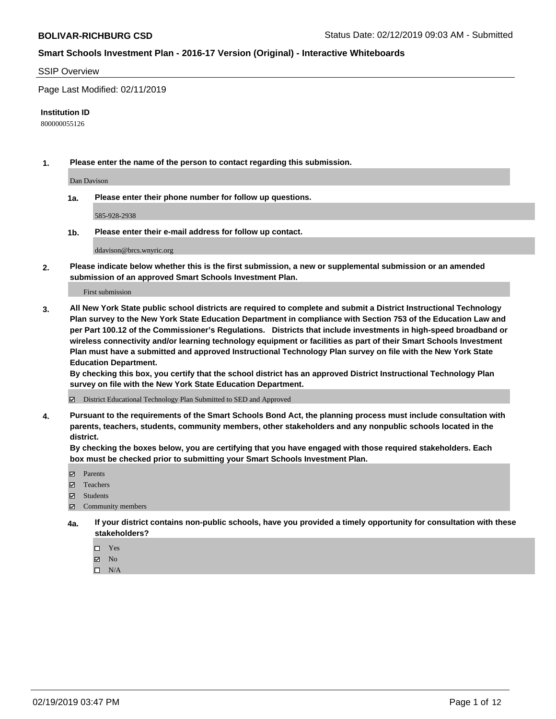#### SSIP Overview

Page Last Modified: 02/11/2019

#### **Institution ID**

800000055126

**1. Please enter the name of the person to contact regarding this submission.**

Dan Davison

**1a. Please enter their phone number for follow up questions.**

585-928-2938

**1b. Please enter their e-mail address for follow up contact.**

ddavison@brcs.wnyric.org

**2. Please indicate below whether this is the first submission, a new or supplemental submission or an amended submission of an approved Smart Schools Investment Plan.**

First submission

**3. All New York State public school districts are required to complete and submit a District Instructional Technology Plan survey to the New York State Education Department in compliance with Section 753 of the Education Law and per Part 100.12 of the Commissioner's Regulations. Districts that include investments in high-speed broadband or wireless connectivity and/or learning technology equipment or facilities as part of their Smart Schools Investment Plan must have a submitted and approved Instructional Technology Plan survey on file with the New York State Education Department.** 

**By checking this box, you certify that the school district has an approved District Instructional Technology Plan survey on file with the New York State Education Department.**

District Educational Technology Plan Submitted to SED and Approved

**4. Pursuant to the requirements of the Smart Schools Bond Act, the planning process must include consultation with parents, teachers, students, community members, other stakeholders and any nonpublic schools located in the district.** 

**By checking the boxes below, you are certifying that you have engaged with those required stakeholders. Each box must be checked prior to submitting your Smart Schools Investment Plan.**

- **□** Parents
- Teachers
- Students
- $\boxtimes$  Community members
- **4a. If your district contains non-public schools, have you provided a timely opportunity for consultation with these stakeholders?**
	- $\Box$  Yes
	- $\boxtimes$  No
	- $\square$  N/A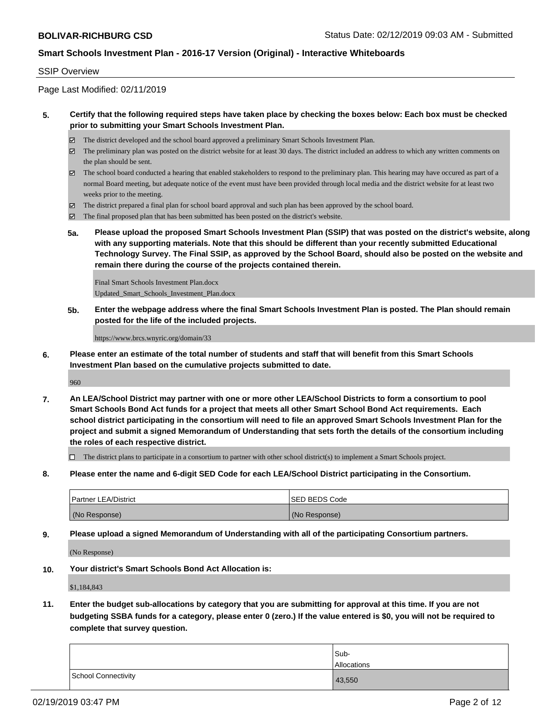#### SSIP Overview

Page Last Modified: 02/11/2019

#### **5. Certify that the following required steps have taken place by checking the boxes below: Each box must be checked prior to submitting your Smart Schools Investment Plan.**

- The district developed and the school board approved a preliminary Smart Schools Investment Plan.
- $\boxtimes$  The preliminary plan was posted on the district website for at least 30 days. The district included an address to which any written comments on the plan should be sent.
- $\boxtimes$  The school board conducted a hearing that enabled stakeholders to respond to the preliminary plan. This hearing may have occured as part of a normal Board meeting, but adequate notice of the event must have been provided through local media and the district website for at least two weeks prior to the meeting.
- The district prepared a final plan for school board approval and such plan has been approved by the school board.
- $\boxtimes$  The final proposed plan that has been submitted has been posted on the district's website.
- **5a. Please upload the proposed Smart Schools Investment Plan (SSIP) that was posted on the district's website, along with any supporting materials. Note that this should be different than your recently submitted Educational Technology Survey. The Final SSIP, as approved by the School Board, should also be posted on the website and remain there during the course of the projects contained therein.**

Final Smart Schools Investment Plan.docx Updated\_Smart\_Schools\_Investment\_Plan.docx

**5b. Enter the webpage address where the final Smart Schools Investment Plan is posted. The Plan should remain posted for the life of the included projects.**

https://www.brcs.wnyric.org/domain/33

**6. Please enter an estimate of the total number of students and staff that will benefit from this Smart Schools Investment Plan based on the cumulative projects submitted to date.**

960

**7. An LEA/School District may partner with one or more other LEA/School Districts to form a consortium to pool Smart Schools Bond Act funds for a project that meets all other Smart School Bond Act requirements. Each school district participating in the consortium will need to file an approved Smart Schools Investment Plan for the project and submit a signed Memorandum of Understanding that sets forth the details of the consortium including the roles of each respective district.**

 $\Box$  The district plans to participate in a consortium to partner with other school district(s) to implement a Smart Schools project.

**8. Please enter the name and 6-digit SED Code for each LEA/School District participating in the Consortium.**

| <b>Partner LEA/District</b> | <b>ISED BEDS Code</b> |
|-----------------------------|-----------------------|
| (No Response)               | (No Response)         |

**9. Please upload a signed Memorandum of Understanding with all of the participating Consortium partners.**

(No Response)

**10. Your district's Smart Schools Bond Act Allocation is:**

\$1,184,843

**11. Enter the budget sub-allocations by category that you are submitting for approval at this time. If you are not budgeting SSBA funds for a category, please enter 0 (zero.) If the value entered is \$0, you will not be required to complete that survey question.**

|                     | Sub-<br>Allocations |
|---------------------|---------------------|
| School Connectivity | 43,550              |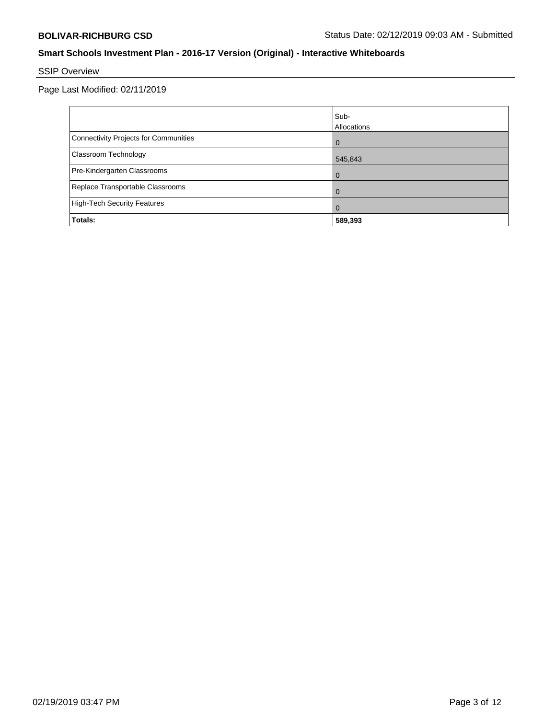# SSIP Overview

Page Last Modified: 02/11/2019

|                                       | lSub-<br>Allocations |
|---------------------------------------|----------------------|
| Connectivity Projects for Communities | $\Omega$             |
| Classroom Technology                  | 545,843              |
| Pre-Kindergarten Classrooms           | $\Omega$             |
| Replace Transportable Classrooms      |                      |
| High-Tech Security Features           | 0                    |
| Totals:                               | 589,393              |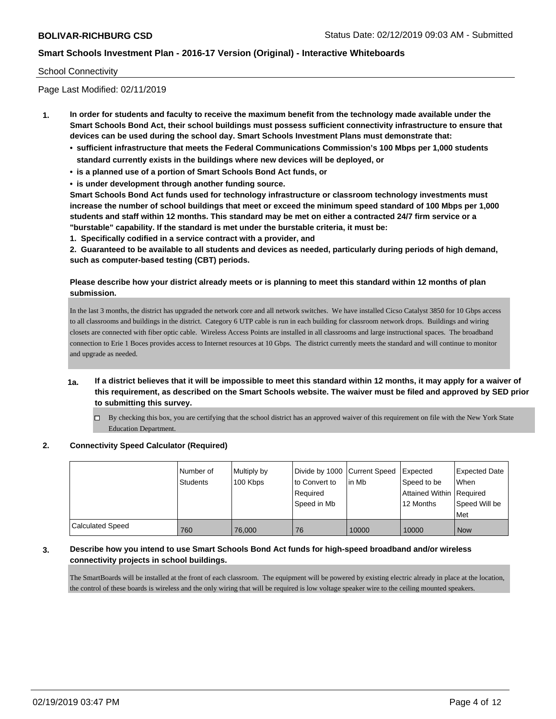#### School Connectivity

Page Last Modified: 02/11/2019

- **1. In order for students and faculty to receive the maximum benefit from the technology made available under the Smart Schools Bond Act, their school buildings must possess sufficient connectivity infrastructure to ensure that devices can be used during the school day. Smart Schools Investment Plans must demonstrate that:**
	- **• sufficient infrastructure that meets the Federal Communications Commission's 100 Mbps per 1,000 students standard currently exists in the buildings where new devices will be deployed, or**
	- **• is a planned use of a portion of Smart Schools Bond Act funds, or**
	- **• is under development through another funding source.**

**Smart Schools Bond Act funds used for technology infrastructure or classroom technology investments must increase the number of school buildings that meet or exceed the minimum speed standard of 100 Mbps per 1,000 students and staff within 12 months. This standard may be met on either a contracted 24/7 firm service or a "burstable" capability. If the standard is met under the burstable criteria, it must be:**

**1. Specifically codified in a service contract with a provider, and**

**2. Guaranteed to be available to all students and devices as needed, particularly during periods of high demand, such as computer-based testing (CBT) periods.**

#### **Please describe how your district already meets or is planning to meet this standard within 12 months of plan submission.**

In the last 3 months, the district has upgraded the network core and all network switches. We have installed Cicso Catalyst 3850 for 10 Gbps access to all classrooms and buildings in the district. Category 6 UTP cable is run in each building for classroom network drops. Buildings and wiring closets are connected with fiber optic cable. Wireless Access Points are installed in all classrooms and large instructional spaces. The broadband connection to Erie 1 Boces provides access to Internet resources at 10 Gbps. The district currently meets the standard and will continue to monitor and upgrade as needed.

- **1a. If a district believes that it will be impossible to meet this standard within 12 months, it may apply for a waiver of this requirement, as described on the Smart Schools website. The waiver must be filed and approved by SED prior to submitting this survey.**
	- $\Box$  By checking this box, you are certifying that the school district has an approved waiver of this requirement on file with the New York State Education Department.

# **2. Connectivity Speed Calculator (Required)**

|                         | I Number of<br><b>Students</b> | Multiply by<br>100 Kbps | to Convert to<br>Required<br>Speed in Mb | Divide by 1000 Current Speed Expected<br>lin Mb | Speed to be<br>Attained Within   Required<br>12 Months | Expected Date<br>When<br>Speed Will be<br>Met |
|-------------------------|--------------------------------|-------------------------|------------------------------------------|-------------------------------------------------|--------------------------------------------------------|-----------------------------------------------|
| <b>Calculated Speed</b> | 760                            | 76,000                  | 76                                       | 10000                                           | 10000                                                  | <b>Now</b>                                    |

#### **3. Describe how you intend to use Smart Schools Bond Act funds for high-speed broadband and/or wireless connectivity projects in school buildings.**

The SmartBoards will be installed at the front of each classroom. The equipment will be powered by existing electric already in place at the location, the control of these boards is wireless and the only wiring that will be required is low voltage speaker wire to the ceiling mounted speakers.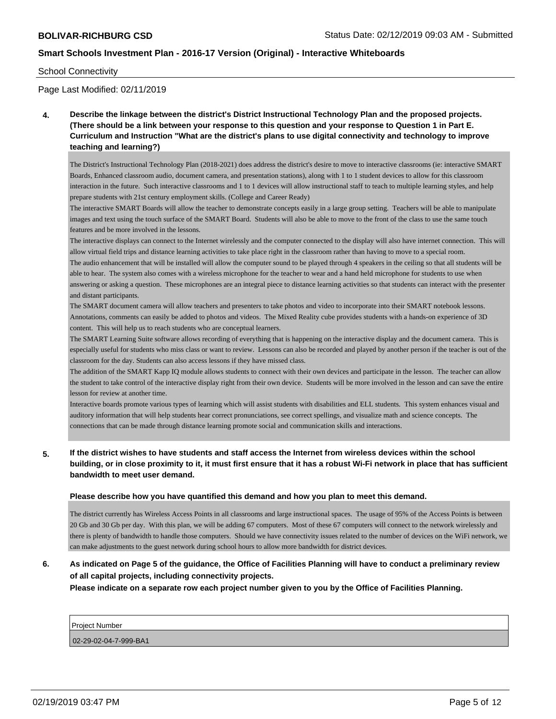#### School Connectivity

Page Last Modified: 02/11/2019

**4. Describe the linkage between the district's District Instructional Technology Plan and the proposed projects. (There should be a link between your response to this question and your response to Question 1 in Part E. Curriculum and Instruction "What are the district's plans to use digital connectivity and technology to improve teaching and learning?)**

The District's Instructional Technology Plan (2018-2021) does address the district's desire to move to interactive classrooms (ie: interactive SMART Boards, Enhanced classroom audio, document camera, and presentation stations), along with 1 to 1 student devices to allow for this classroom interaction in the future. Such interactive classrooms and 1 to 1 devices will allow instructional staff to teach to multiple learning styles, and help prepare students with 21st century employment skills. (College and Career Ready)

The interactive SMART Boards will allow the teacher to demonstrate concepts easily in a large group setting. Teachers will be able to manipulate images and text using the touch surface of the SMART Board. Students will also be able to move to the front of the class to use the same touch features and be more involved in the lessons.

The interactive displays can connect to the Internet wirelessly and the computer connected to the display will also have internet connection. This will allow virtual field trips and distance learning activities to take place right in the classroom rather than having to move to a special room. The audio enhancement that will be installed will allow the computer sound to be played through 4 speakers in the ceiling so that all students will be able to hear. The system also comes with a wireless microphone for the teacher to wear and a hand held microphone for students to use when answering or asking a question. These microphones are an integral piece to distance learning activities so that students can interact with the presenter and distant participants.

The SMART document camera will allow teachers and presenters to take photos and video to incorporate into their SMART notebook lessons. Annotations, comments can easily be added to photos and videos. The Mixed Reality cube provides students with a hands-on experience of 3D content. This will help us to reach students who are conceptual learners.

The SMART Learning Suite software allows recording of everything that is happening on the interactive display and the document camera. This is especially useful for students who miss class or want to review. Lessons can also be recorded and played by another person if the teacher is out of the classroom for the day. Students can also access lessons if they have missed class.

The addition of the SMART Kapp IQ module allows students to connect with their own devices and participate in the lesson. The teacher can allow the student to take control of the interactive display right from their own device. Students will be more involved in the lesson and can save the entire lesson for review at another time.

Interactive boards promote various types of learning which will assist students with disabilities and ELL students. This system enhances visual and auditory information that will help students hear correct pronunciations, see correct spellings, and visualize math and science concepts. The connections that can be made through distance learning promote social and communication skills and interactions.

**5. If the district wishes to have students and staff access the Internet from wireless devices within the school building, or in close proximity to it, it must first ensure that it has a robust Wi-Fi network in place that has sufficient bandwidth to meet user demand.**

#### **Please describe how you have quantified this demand and how you plan to meet this demand.**

The district currently has Wireless Access Points in all classrooms and large instructional spaces. The usage of 95% of the Access Points is between 20 Gb and 30 Gb per day. With this plan, we will be adding 67 computers. Most of these 67 computers will connect to the network wirelessly and there is plenty of bandwidth to handle those computers. Should we have connectivity issues related to the number of devices on the WiFi network, we can make adjustments to the guest network during school hours to allow more bandwidth for district devices.

## **6. As indicated on Page 5 of the guidance, the Office of Facilities Planning will have to conduct a preliminary review of all capital projects, including connectivity projects.**

**Please indicate on a separate row each project number given to you by the Office of Facilities Planning.**

| <b>Project Number</b> |  |
|-----------------------|--|
|-----------------------|--|

02-29-02-04-7-999-BA1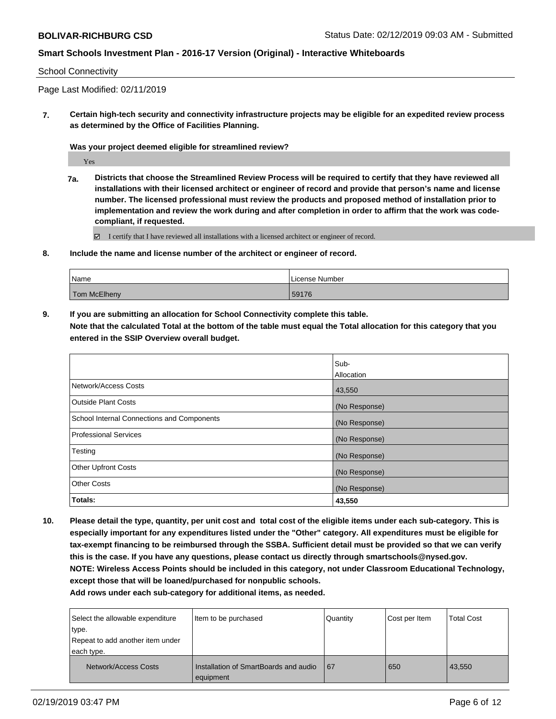#### School Connectivity

Page Last Modified: 02/11/2019

**7. Certain high-tech security and connectivity infrastructure projects may be eligible for an expedited review process as determined by the Office of Facilities Planning.**

**Was your project deemed eligible for streamlined review?**

Yes

**7a. Districts that choose the Streamlined Review Process will be required to certify that they have reviewed all installations with their licensed architect or engineer of record and provide that person's name and license number. The licensed professional must review the products and proposed method of installation prior to implementation and review the work during and after completion in order to affirm that the work was codecompliant, if requested.**

 $\Xi$  I certify that I have reviewed all installations with a licensed architect or engineer of record.

**8. Include the name and license number of the architect or engineer of record.**

| Name         | License Number |
|--------------|----------------|
| Tom McElheny | 59176          |

**9. If you are submitting an allocation for School Connectivity complete this table.**

**Note that the calculated Total at the bottom of the table must equal the Total allocation for this category that you entered in the SSIP Overview overall budget.** 

|                                            | Sub-          |
|--------------------------------------------|---------------|
|                                            | Allocation    |
| Network/Access Costs                       | 43,550        |
| <b>Outside Plant Costs</b>                 | (No Response) |
| School Internal Connections and Components | (No Response) |
| <b>Professional Services</b>               | (No Response) |
| Testing                                    | (No Response) |
| <b>Other Upfront Costs</b>                 | (No Response) |
| <b>Other Costs</b>                         | (No Response) |
| Totals:                                    | 43,550        |

**10. Please detail the type, quantity, per unit cost and total cost of the eligible items under each sub-category. This is especially important for any expenditures listed under the "Other" category. All expenditures must be eligible for tax-exempt financing to be reimbursed through the SSBA. Sufficient detail must be provided so that we can verify this is the case. If you have any questions, please contact us directly through smartschools@nysed.gov. NOTE: Wireless Access Points should be included in this category, not under Classroom Educational Technology, except those that will be loaned/purchased for nonpublic schools.**

**Add rows under each sub-category for additional items, as needed.**

| Select the allowable expenditure<br>type.<br>Repeat to add another item under<br>each type. | Item to be purchased                               | Quantity | Cost per Item | <b>Total Cost</b> |
|---------------------------------------------------------------------------------------------|----------------------------------------------------|----------|---------------|-------------------|
| Network/Access Costs                                                                        | Installation of SmartBoards and audio<br>equipment | 67       | 650           | 43,550            |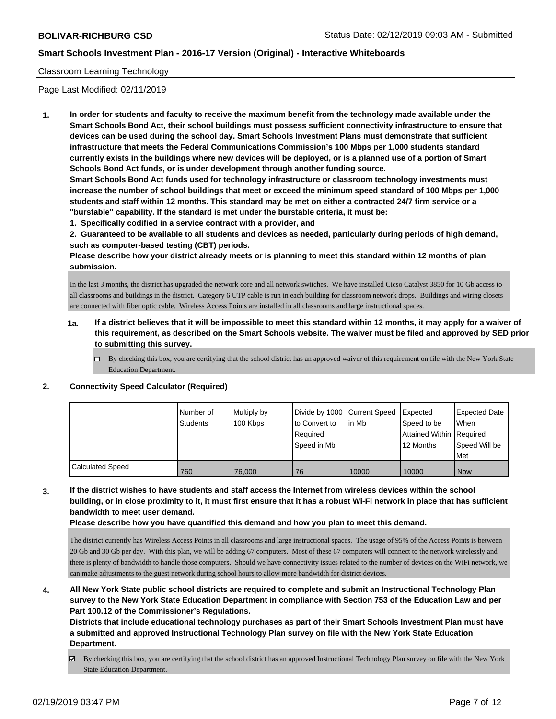#### Classroom Learning Technology

Page Last Modified: 02/11/2019

**1. In order for students and faculty to receive the maximum benefit from the technology made available under the Smart Schools Bond Act, their school buildings must possess sufficient connectivity infrastructure to ensure that devices can be used during the school day. Smart Schools Investment Plans must demonstrate that sufficient infrastructure that meets the Federal Communications Commission's 100 Mbps per 1,000 students standard currently exists in the buildings where new devices will be deployed, or is a planned use of a portion of Smart Schools Bond Act funds, or is under development through another funding source.**

**Smart Schools Bond Act funds used for technology infrastructure or classroom technology investments must increase the number of school buildings that meet or exceed the minimum speed standard of 100 Mbps per 1,000 students and staff within 12 months. This standard may be met on either a contracted 24/7 firm service or a "burstable" capability. If the standard is met under the burstable criteria, it must be:**

**1. Specifically codified in a service contract with a provider, and**

**2. Guaranteed to be available to all students and devices as needed, particularly during periods of high demand, such as computer-based testing (CBT) periods.**

**Please describe how your district already meets or is planning to meet this standard within 12 months of plan submission.**

In the last 3 months, the district has upgraded the network core and all network switches. We have installed Cicso Catalyst 3850 for 10 Gb access to all classrooms and buildings in the district. Category 6 UTP cable is run in each building for classroom network drops. Buildings and wiring closets are connected with fiber optic cable. Wireless Access Points are installed in all classrooms and large instructional spaces.

- **1a. If a district believes that it will be impossible to meet this standard within 12 months, it may apply for a waiver of this requirement, as described on the Smart Schools website. The waiver must be filed and approved by SED prior to submitting this survey.**
	- By checking this box, you are certifying that the school district has an approved waiver of this requirement on file with the New York State Education Department.

#### **2. Connectivity Speed Calculator (Required)**

|                         | Number of<br>Students | Multiply by<br>100 Kbps | Divide by 1000 Current Speed<br>to Convert to<br>Required<br>Speed in Mb | lin Mb | Expected<br>Speed to be<br>Attained Within   Required<br>12 Months | <b>Expected Date</b><br>When<br>Speed Will be<br>Met |
|-------------------------|-----------------------|-------------------------|--------------------------------------------------------------------------|--------|--------------------------------------------------------------------|------------------------------------------------------|
| <b>Calculated Speed</b> | 760                   | 76,000                  | 76                                                                       | 10000  | 10000                                                              | <b>Now</b>                                           |

**3. If the district wishes to have students and staff access the Internet from wireless devices within the school building, or in close proximity to it, it must first ensure that it has a robust Wi-Fi network in place that has sufficient bandwidth to meet user demand.**

**Please describe how you have quantified this demand and how you plan to meet this demand.**

The district currently has Wireless Access Points in all classrooms and large instructional spaces. The usage of 95% of the Access Points is between 20 Gb and 30 Gb per day. With this plan, we will be adding 67 computers. Most of these 67 computers will connect to the network wirelessly and there is plenty of bandwidth to handle those computers. Should we have connectivity issues related to the number of devices on the WiFi network, we can make adjustments to the guest network during school hours to allow more bandwidth for district devices.

**4. All New York State public school districts are required to complete and submit an Instructional Technology Plan survey to the New York State Education Department in compliance with Section 753 of the Education Law and per Part 100.12 of the Commissioner's Regulations.**

**Districts that include educational technology purchases as part of their Smart Schools Investment Plan must have a submitted and approved Instructional Technology Plan survey on file with the New York State Education Department.**

By checking this box, you are certifying that the school district has an approved Instructional Technology Plan survey on file with the New York State Education Department.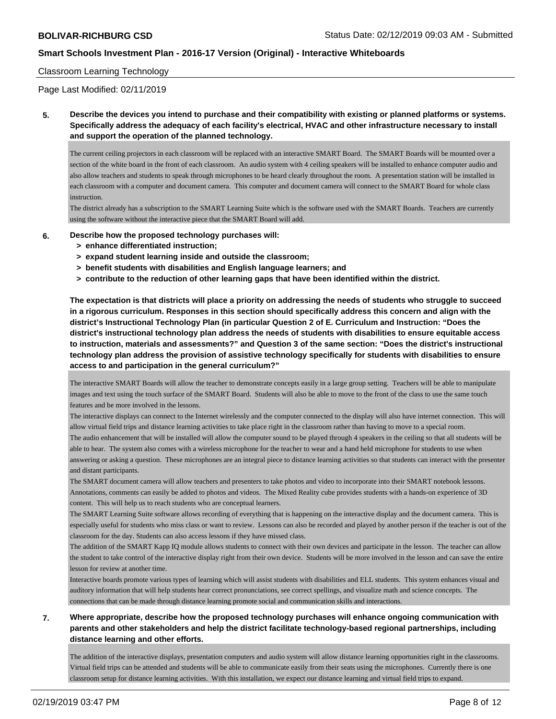#### Classroom Learning Technology

Page Last Modified: 02/11/2019

### **5. Describe the devices you intend to purchase and their compatibility with existing or planned platforms or systems. Specifically address the adequacy of each facility's electrical, HVAC and other infrastructure necessary to install and support the operation of the planned technology.**

The current ceiling projectors in each classroom will be replaced with an interactive SMART Board. The SMART Boards will be mounted over a section of the white board in the front of each classroom. An audio system with 4 ceiling speakers will be installed to enhance computer audio and also allow teachers and students to speak through microphones to be heard clearly throughout the room. A presentation station will be installed in each classroom with a computer and document camera. This computer and document camera will connect to the SMART Board for whole class instruction.

The district already has a subscription to the SMART Learning Suite which is the software used with the SMART Boards. Teachers are currently using the software without the interactive piece that the SMART Board will add.

#### **6. Describe how the proposed technology purchases will:**

- **> enhance differentiated instruction;**
- **> expand student learning inside and outside the classroom;**
- **> benefit students with disabilities and English language learners; and**
- **> contribute to the reduction of other learning gaps that have been identified within the district.**

**The expectation is that districts will place a priority on addressing the needs of students who struggle to succeed in a rigorous curriculum. Responses in this section should specifically address this concern and align with the district's Instructional Technology Plan (in particular Question 2 of E. Curriculum and Instruction: "Does the district's instructional technology plan address the needs of students with disabilities to ensure equitable access to instruction, materials and assessments?" and Question 3 of the same section: "Does the district's instructional technology plan address the provision of assistive technology specifically for students with disabilities to ensure access to and participation in the general curriculum?"**

The interactive SMART Boards will allow the teacher to demonstrate concepts easily in a large group setting. Teachers will be able to manipulate images and text using the touch surface of the SMART Board. Students will also be able to move to the front of the class to use the same touch features and be more involved in the lessons.

The interactive displays can connect to the Internet wirelessly and the computer connected to the display will also have internet connection. This will allow virtual field trips and distance learning activities to take place right in the classroom rather than having to move to a special room.

The audio enhancement that will be installed will allow the computer sound to be played through 4 speakers in the ceiling so that all students will be able to hear. The system also comes with a wireless microphone for the teacher to wear and a hand held microphone for students to use when answering or asking a question. These microphones are an integral piece to distance learning activities so that students can interact with the presenter and distant participants.

The SMART document camera will allow teachers and presenters to take photos and video to incorporate into their SMART notebook lessons. Annotations, comments can easily be added to photos and videos. The Mixed Reality cube provides students with a hands-on experience of 3D content. This will help us to reach students who are conceptual learners.

The SMART Learning Suite software allows recording of everything that is happening on the interactive display and the document camera. This is especially useful for students who miss class or want to review. Lessons can also be recorded and played by another person if the teacher is out of the classroom for the day. Students can also access lessons if they have missed class.

The addition of the SMART Kapp IQ module allows students to connect with their own devices and participate in the lesson. The teacher can allow the student to take control of the interactive display right from their own device. Students will be more involved in the lesson and can save the entire lesson for review at another time.

Interactive boards promote various types of learning which will assist students with disabilities and ELL students. This system enhances visual and auditory information that will help students hear correct pronunciations, see correct spellings, and visualize math and science concepts. The connections that can be made through distance learning promote social and communication skills and interactions.

### **7. Where appropriate, describe how the proposed technology purchases will enhance ongoing communication with parents and other stakeholders and help the district facilitate technology-based regional partnerships, including distance learning and other efforts.**

The addition of the interactive displays, presentation computers and audio system will allow distance learning opportunities right in the classrooms. Virtual field trips can be attended and students will be able to communicate easily from their seats using the microphones. Currently there is one classroom setup for distance learning activities. With this installation, we expect our distance learning and virtual field trips to expand.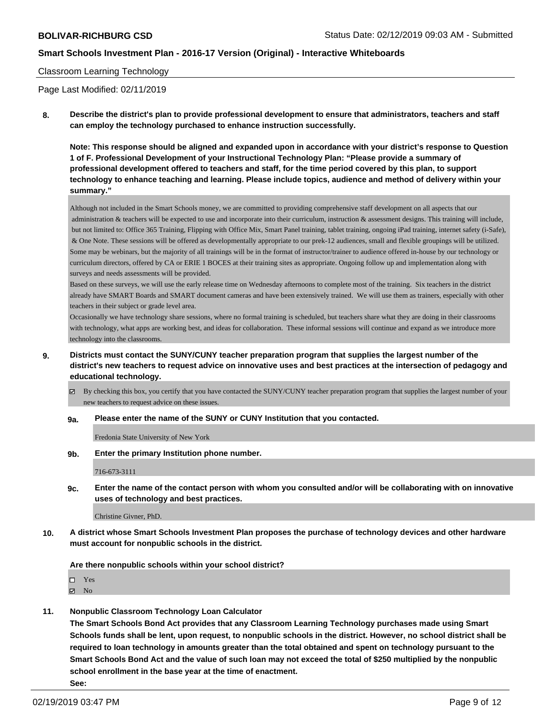#### Classroom Learning Technology

Page Last Modified: 02/11/2019

**8. Describe the district's plan to provide professional development to ensure that administrators, teachers and staff can employ the technology purchased to enhance instruction successfully.**

**Note: This response should be aligned and expanded upon in accordance with your district's response to Question 1 of F. Professional Development of your Instructional Technology Plan: "Please provide a summary of professional development offered to teachers and staff, for the time period covered by this plan, to support technology to enhance teaching and learning. Please include topics, audience and method of delivery within your summary."**

Although not included in the Smart Schools money, we are committed to providing comprehensive staff development on all aspects that our administration & teachers will be expected to use and incorporate into their curriculum, instruction & assessment designs. This training will include, but not limited to: Office 365 Training, Flipping with Office Mix, Smart Panel training, tablet training, ongoing iPad training, internet safety (i-Safe), & One Note. These sessions will be offered as developmentally appropriate to our prek-12 audiences, small and flexible groupings will be utilized. Some may be webinars, but the majority of all trainings will be in the format of instructor/trainer to audience offered in-house by our technology or curriculum directors, offered by CA or ERIE 1 BOCES at their training sites as appropriate. Ongoing follow up and implementation along with surveys and needs assessments will be provided.

Based on these surveys, we will use the early release time on Wednesday afternoons to complete most of the training. Six teachers in the district already have SMART Boards and SMART document cameras and have been extensively trained. We will use them as trainers, especially with other teachers in their subject or grade level area.

Occasionally we have technology share sessions, where no formal training is scheduled, but teachers share what they are doing in their classrooms with technology, what apps are working best, and ideas for collaboration. These informal sessions will continue and expand as we introduce more technology into the classrooms.

- **9. Districts must contact the SUNY/CUNY teacher preparation program that supplies the largest number of the district's new teachers to request advice on innovative uses and best practices at the intersection of pedagogy and educational technology.**
	- $\boxtimes$  By checking this box, you certify that you have contacted the SUNY/CUNY teacher preparation program that supplies the largest number of your new teachers to request advice on these issues.

#### **9a. Please enter the name of the SUNY or CUNY Institution that you contacted.**

Fredonia State University of New York

**9b. Enter the primary Institution phone number.**

716-673-3111

**9c. Enter the name of the contact person with whom you consulted and/or will be collaborating with on innovative uses of technology and best practices.**

Christine Givner, PhD.

**10. A district whose Smart Schools Investment Plan proposes the purchase of technology devices and other hardware must account for nonpublic schools in the district.**

**Are there nonpublic schools within your school district?**

Yes

 $\boxtimes$  No

**11. Nonpublic Classroom Technology Loan Calculator**

**The Smart Schools Bond Act provides that any Classroom Learning Technology purchases made using Smart Schools funds shall be lent, upon request, to nonpublic schools in the district. However, no school district shall be required to loan technology in amounts greater than the total obtained and spent on technology pursuant to the Smart Schools Bond Act and the value of such loan may not exceed the total of \$250 multiplied by the nonpublic school enrollment in the base year at the time of enactment. See:**

02/19/2019 03:47 PM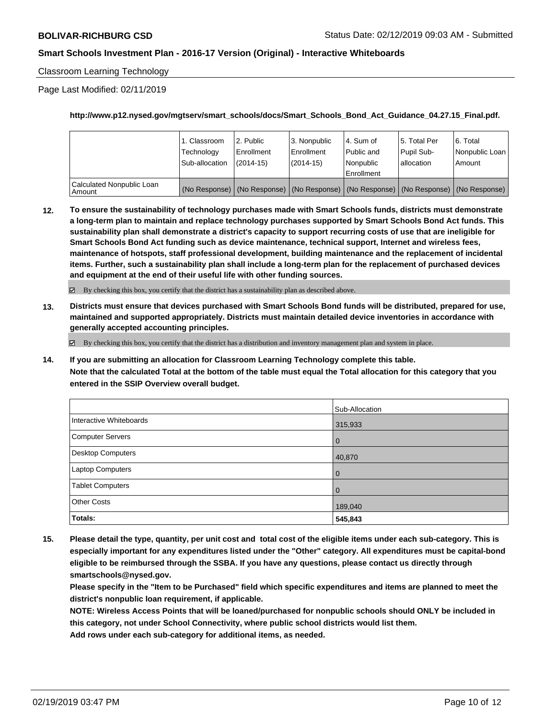Classroom Learning Technology

Page Last Modified: 02/11/2019

**http://www.p12.nysed.gov/mgtserv/smart\_schools/docs/Smart\_Schools\_Bond\_Act\_Guidance\_04.27.15\_Final.pdf.**

|                                       | 1. Classroom   | l 2. Public   | l 3. Nonpublic | 4. Sum of                                                                                         | 15. Total Per | l 6. Total     |
|---------------------------------------|----------------|---------------|----------------|---------------------------------------------------------------------------------------------------|---------------|----------------|
|                                       | Technology     | l Enrollment  | Enrollment     | Public and                                                                                        | Pupil Sub-    | Nonpublic Loan |
|                                       | Sub-allocation | $(2014 - 15)$ | (2014-15)      | l Nonpublic                                                                                       | allocation    | Amount         |
| Calculated Nonpublic Loan<br>  Amount |                |               |                | Enrollment<br>(No Response) (No Response) (No Response) (No Response) (No Response) (No Response) |               |                |

**12. To ensure the sustainability of technology purchases made with Smart Schools funds, districts must demonstrate a long-term plan to maintain and replace technology purchases supported by Smart Schools Bond Act funds. This sustainability plan shall demonstrate a district's capacity to support recurring costs of use that are ineligible for Smart Schools Bond Act funding such as device maintenance, technical support, Internet and wireless fees, maintenance of hotspots, staff professional development, building maintenance and the replacement of incidental items. Further, such a sustainability plan shall include a long-term plan for the replacement of purchased devices and equipment at the end of their useful life with other funding sources.**

By checking this box, you certify that the district has a sustainability plan as described above.

**13. Districts must ensure that devices purchased with Smart Schools Bond funds will be distributed, prepared for use, maintained and supported appropriately. Districts must maintain detailed device inventories in accordance with generally accepted accounting principles.**

By checking this box, you certify that the district has a distribution and inventory management plan and system in place.

**14. If you are submitting an allocation for Classroom Learning Technology complete this table. Note that the calculated Total at the bottom of the table must equal the Total allocation for this category that you entered in the SSIP Overview overall budget.**

|                         | Sub-Allocation |
|-------------------------|----------------|
| Interactive Whiteboards | 315,933        |
| Computer Servers        | l O            |
| Desktop Computers       | 40,870         |
| Laptop Computers        | l 0            |
| <b>Tablet Computers</b> | $\overline{0}$ |
| <b>Other Costs</b>      | 189,040        |
| Totals:                 | 545,843        |

**15. Please detail the type, quantity, per unit cost and total cost of the eligible items under each sub-category. This is especially important for any expenditures listed under the "Other" category. All expenditures must be capital-bond eligible to be reimbursed through the SSBA. If you have any questions, please contact us directly through smartschools@nysed.gov.**

**Please specify in the "Item to be Purchased" field which specific expenditures and items are planned to meet the district's nonpublic loan requirement, if applicable.**

**NOTE: Wireless Access Points that will be loaned/purchased for nonpublic schools should ONLY be included in this category, not under School Connectivity, where public school districts would list them.**

**Add rows under each sub-category for additional items, as needed.**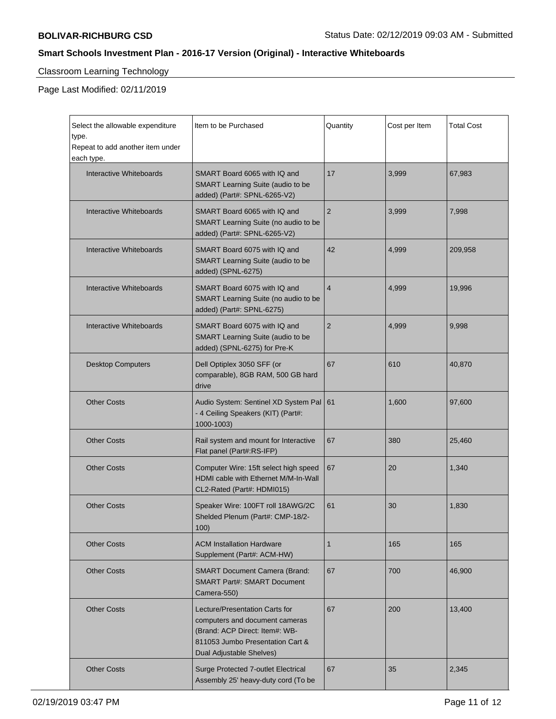# Classroom Learning Technology

Page Last Modified: 02/11/2019

 $\mathbf{r}$ 

| Select the allowable expenditure<br>type.<br>Repeat to add another item under<br>each type. | Item to be Purchased                                                                                                                                               | Quantity       | Cost per Item | Total Cost |
|---------------------------------------------------------------------------------------------|--------------------------------------------------------------------------------------------------------------------------------------------------------------------|----------------|---------------|------------|
| Interactive Whiteboards                                                                     | SMART Board 6065 with IQ and<br><b>SMART Learning Suite (audio to be</b><br>added) (Part#: SPNL-6265-V2)                                                           | 17             | 3,999         | 67,983     |
| Interactive Whiteboards                                                                     | SMART Board 6065 with IQ and<br>SMART Learning Suite (no audio to be<br>added) (Part#: SPNL-6265-V2)                                                               | 2              | 3,999         | 7,998      |
| Interactive Whiteboards                                                                     | SMART Board 6075 with IQ and<br>SMART Learning Suite (audio to be<br>added) (SPNL-6275)                                                                            | 42             | 4,999         | 209,958    |
| Interactive Whiteboards                                                                     | SMART Board 6075 with IQ and<br>SMART Learning Suite (no audio to be<br>added) (Part#: SPNL-6275)                                                                  | $\overline{4}$ | 4,999         | 19,996     |
| Interactive Whiteboards                                                                     | SMART Board 6075 with IQ and<br>SMART Learning Suite (audio to be<br>added) (SPNL-6275) for Pre-K                                                                  | 2              | 4,999         | 9,998      |
| <b>Desktop Computers</b>                                                                    | Dell Optiplex 3050 SFF (or<br>comparable), 8GB RAM, 500 GB hard<br>drive                                                                                           | 67             | 610           | 40,870     |
| <b>Other Costs</b>                                                                          | Audio System: Sentinel XD System Pal<br>- 4 Ceiling Speakers (KIT) (Part#:<br>1000-1003)                                                                           | 61             | 1,600         | 97,600     |
| <b>Other Costs</b>                                                                          | Rail system and mount for Interactive<br>Flat panel (Part#:RS-IFP)                                                                                                 | 67             | 380           | 25,460     |
| <b>Other Costs</b>                                                                          | Computer Wire: 15ft select high speed<br>HDMI cable with Ethernet M/M-In-Wall<br>CL2-Rated (Part#: HDMI015)                                                        | 67             | 20            | 1,340      |
| <b>Other Costs</b>                                                                          | Speaker Wire: 100FT roll 18AWG/2C<br>Shelded Plenum (Part#: CMP-18/2-<br>100)                                                                                      | 61             | 30            | 1,830      |
| <b>Other Costs</b>                                                                          | <b>ACM Installation Hardware</b><br>Supplement (Part#: ACM-HW)                                                                                                     | 1              | 165           | 165        |
| <b>Other Costs</b>                                                                          | <b>SMART Document Camera (Brand:</b><br><b>SMART Part#: SMART Document</b><br>Camera-550)                                                                          | 67             | 700           | 46,900     |
| <b>Other Costs</b>                                                                          | Lecture/Presentation Carts for<br>computers and document cameras<br>(Brand: ACP Direct: Item#: WB-<br>811053 Jumbo Presentation Cart &<br>Dual Adjustable Shelves) | 67             | 200           | 13,400     |
| <b>Other Costs</b>                                                                          | Surge Protected 7-outlet Electrical<br>Assembly 25' heavy-duty cord (To be                                                                                         | 67             | 35            | 2,345      |